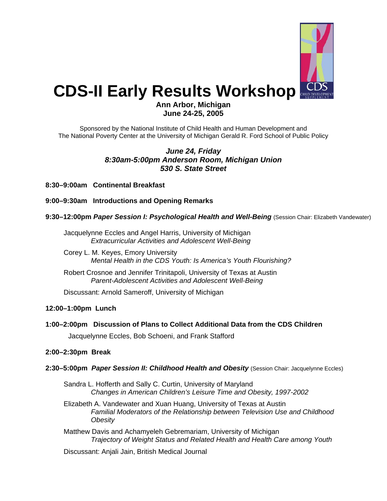

# **CDS-II Early Results Workshop**

# **Ann Arbor, Michigan June 24-25, 2005**

Sponsored by the National Institute of Child Health and Human Development and The National Poverty Center at the University of Michigan Gerald R. Ford School of Public Policy

## *June 24, Friday 8:30am-5:00pm Anderson Room, Michigan Union 530 S. State Street*

**8:30–9:00am Continental Breakfast** 

**9:00–9:30am Introductions and Opening Remarks** 

## **9:30–12:00pm** *Paper Session I: Psychological Health and Well-Being* (Session Chair: Elizabeth Vandewater)

Jacquelynne Eccles and Angel Harris, University of Michigan *Extracurricular Activities and Adolescent Well-Being* 

Corey L. M. Keyes, Emory University *Mental Health in the CDS Youth: Is America's Youth Flourishing?* 

Robert Crosnoe and Jennifer Trinitapoli, University of Texas at Austin *Parent-Adolescent Activities and Adolescent Well-Being* 

Discussant: Arnold Sameroff, University of Michigan

## **12:00–1:00pm Lunch**

**1:00–2:00pm Discussion of Plans to Collect Additional Data from the CDS Children** 

Jacquelynne Eccles, Bob Schoeni, and Frank Stafford

## **2:00–2:30pm Break**

- **2:30–5:00pm** *Paper Session II: Childhood Health and Obesity* (Session Chair: Jacquelynne Eccles)
	- Sandra L. Hofferth and Sally C. Curtin, University of Maryland *Changes in American Children's Leisure Time and Obesity, 1997-2002*
	- Elizabeth A. Vandewater and Xuan Huang, University of Texas at Austin *Familial Moderators of the Relationship between Television Use and Childhood Obesity*
	- Matthew Davis and Achamyeleh Gebremariam, University of Michigan *Trajectory of Weight Status and Related Health and Health Care among Youth*

Discussant: Anjali Jain, British Medical Journal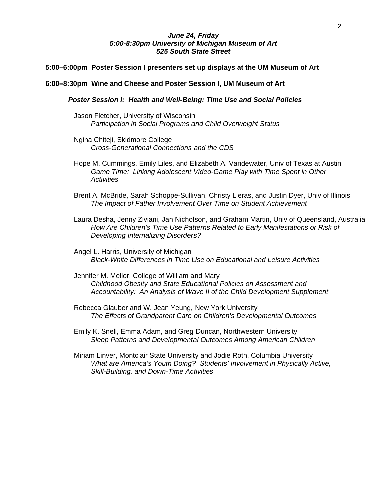## *June 24, Friday 5:00-8:30pm University of Michigan Museum of Art 525 South State Street*

#### **5:00–6:00pm Poster Session I presenters set up displays at the UM Museum of Art**

## **6:00–8:30pm Wine and Cheese and Poster Session I, UM Museum of Art**

*Poster Session I: Health and Well-Being: Time Use and Social Policies* 

- Jason Fletcher, University of Wisconsin *Participation in Social Programs and Child Overweight Status*
- Ngina Chiteji, Skidmore College *Cross-Generational Connections and the CDS*
- Hope M. Cummings, Emily Liles, and Elizabeth A. Vandewater, Univ of Texas at Austin *Game Time: Linking Adolescent Video-Game Play with Time Spent in Other Activities*
- Brent A. McBride, Sarah Schoppe-Sullivan, Christy Lleras, and Justin Dyer, Univ of Illinois *The Impact of Father Involvement Over Time on Student Achievement*
- Laura Desha, Jenny Ziviani, Jan Nicholson, and Graham Martin, Univ of Queensland, Australia *How Are Children's Time Use Patterns Related to Early Manifestations or Risk of Developing Internalizing Disorders?*

Angel L. Harris, University of Michigan *Black-White Differences in Time Use on Educational and Leisure Activities* 

Jennifer M. Mellor, College of William and Mary *Childhood Obesity and State Educational Policies on Assessment and Accountability: An Analysis of Wave II of the Child Development Supplement* 

Rebecca Glauber and W. Jean Yeung, New York University *The Effects of Grandparent Care on Children's Developmental Outcomes* 

Emily K. Snell, Emma Adam, and Greg Duncan, Northwestern University *Sleep Patterns and Developmental Outcomes Among American Children* 

Miriam Linver, Montclair State University and Jodie Roth, Columbia University *What are America's Youth Doing? Students' Involvement in Physically Active, Skill-Building, and Down-Time Activities*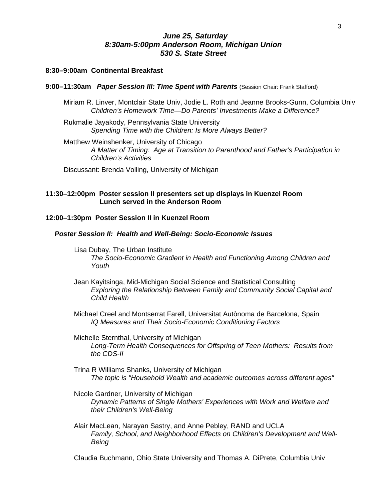## *June 25, Saturday 8:30am-5:00pm Anderson Room, Michigan Union 530 S. State Street*

## **8:30–9:00am Continental Breakfast**

#### **9:00–11:30am** *Paper Session III: Time Spent with Parents* (Session Chair: Frank Stafford)

- Miriam R. Linver, Montclair State Univ, Jodie L. Roth and Jeanne Brooks-Gunn, Columbia Univ *Children's Homework Time—Do Parents' Investments Make a Difference?*
- Rukmalie Jayakody, Pennsylvania State University *Spending Time with the Children: Is More Always Better?*
- Matthew Weinshenker, University of Chicago *A Matter of Timing: Age at Transition to Parenthood and Father's Participation in Children's Activities*
- Discussant: Brenda Volling, University of Michigan

## **11:30–12:00pm Poster session II presenters set up displays in Kuenzel Room Lunch served in the Anderson Room**

## **12:00–1:30pm Poster Session II in Kuenzel Room**

## *Poster Session II: Health and Well-Being: Socio-Economic Issues*

- Lisa Dubay, The Urban Institute *The Socio-Economic Gradient in Health and Functioning Among Children and Youth*
- Jean Kayitsinga, Mid-Michigan Social Science and Statistical Consulting *Exploring the Relationship Between Family and Community Social Capital and Child Health*
- Michael Creel and Montserrat Farell, Universitat Autònoma de Barcelona, Spain *IQ Measures and Their Socio-Economic Conditioning Factors*

Michelle Sternthal, University of Michigan *Long-Term Health Consequences for Offspring of Teen Mothers: Results from the CDS-II* 

- Trina R Williams Shanks, University of Michigan *The topic is "Household Wealth and academic outcomes across different ages"*
- Nicole Gardner, University of Michigan *Dynamic Patterns of Single Mothers' Experiences with Work and Welfare and their Children's Well-Being*
- Alair MacLean, Narayan Sastry, and Anne Pebley, RAND and UCLA *Family, School, and Neighborhood Effects on Children's Development and Well-Being*

Claudia Buchmann, Ohio State University and Thomas A. DiPrete, Columbia Univ